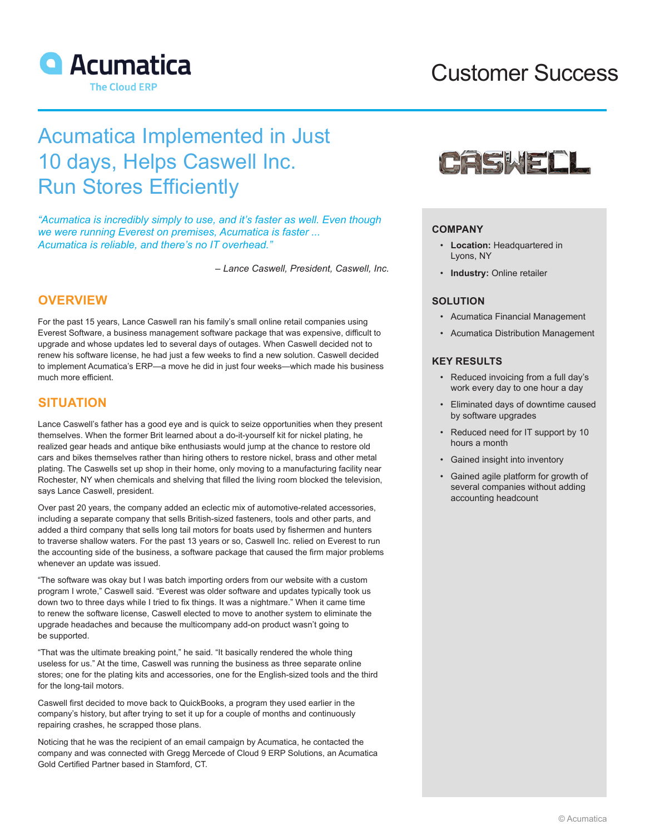

# Customer Success

# Acumatica Implemented in Just 10 days, Helps Caswell Inc. Run Stores Efficiently

*"Acumatica is incredibly simply to use, and it's faster as well. Even though we were running Everest on premises, Acumatica is faster ... Acumatica is reliable, and there's no IT overhead."*

*– Lance Caswell, President, Caswell, Inc.*

## **OVERVIEW**

For the past 15 years, Lance Caswell ran his family's small online retail companies using Everest Software, a business management software package that was expensive, difficult to upgrade and whose updates led to several days of outages. When Caswell decided not to renew his software license, he had just a few weeks to find a new solution. Caswell decided to implement Acumatica's ERP—a move he did in just four weeks—which made his business much more efficient.

## **SITUATION**

Lance Caswell's father has a good eye and is quick to seize opportunities when they present themselves. When the former Brit learned about a do-it-yourself kit for nickel plating, he realized gear heads and antique bike enthusiasts would jump at the chance to restore old cars and bikes themselves rather than hiring others to restore nickel, brass and other metal plating. The Caswells set up shop in their home, only moving to a manufacturing facility near Rochester, NY when chemicals and shelving that filled the living room blocked the television, says Lance Caswell, president.

Over past 20 years, the company added an eclectic mix of automotive-related accessories, including a separate company that sells British-sized fasteners, tools and other parts, and added a third company that sells long tail motors for boats used by fishermen and hunters to traverse shallow waters. For the past 13 years or so, Caswell Inc. relied on Everest to run the accounting side of the business, a software package that caused the firm major problems whenever an update was issued.

"The software was okay but I was batch importing orders from our website with a custom program I wrote," Caswell said. "Everest was older software and updates typically took us down two to three days while I tried to fix things. It was a nightmare." When it came time to renew the software license, Caswell elected to move to another system to eliminate the upgrade headaches and because the multicompany add-on product wasn't going to be supported.

"That was the ultimate breaking point," he said. "It basically rendered the whole thing useless for us." At the time, Caswell was running the business as three separate online stores; one for the plating kits and accessories, one for the English-sized tools and the third for the long-tail motors.

Caswell first decided to move back to QuickBooks, a program they used earlier in the company's history, but after trying to set it up for a couple of months and continuously repairing crashes, he scrapped those plans.

Noticing that he was the recipient of an email campaign by Acumatica, he contacted the company and was connected with Gregg Mercede of Cloud 9 ERP Solutions, an Acumatica Gold Certified Partner based in Stamford, CT.



## **COMPANY**

- **Location:** Headquartered in Lyons, NY
- **Industry:** Online retailer

## **SOLUTION**

- Acumatica Financial Management
- Acumatica Distribution Management

## **KEY RESULTS**

- Reduced invoicing from a full day's work every day to one hour a day
- Eliminated days of downtime caused by software upgrades
- Reduced need for IT support by 10 hours a month
- Gained insight into inventory
- Gained agile platform for growth of several companies without adding accounting headcount